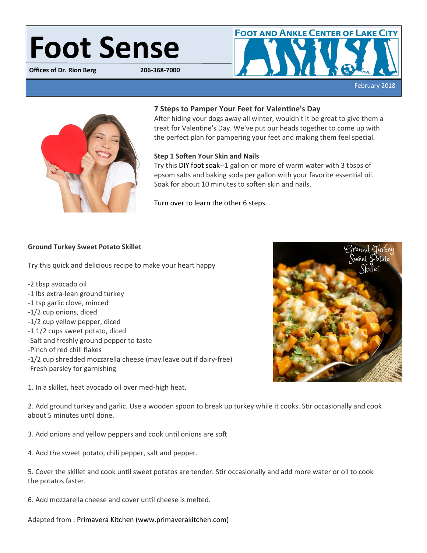# **Foot Sense**

**Offices of Dr. Rion Berg** 





# **7 Steps to Pamper Your Feet for Valentine's Day**

After hiding your dogs away all winter, wouldn't it be great to give them a treat for Valentine's Day. We've put our heads together to come up with the perfect plan for pampering your feet and making them feel special.

# **Step 1 Soften Your Skin and Nails**

Try this DIY foot soak--1 gallon or more of warm water with 3 tbsps of epsom salts and baking soda per gallon with your favorite essential oil. Soak for about 10 minutes to soften skin and nails.

[Turn over to learn the other 6 steps...](http://www.mybomportal.com/Templates/edit/www.bergdpm.com/blog/post/7-steps-to-pamper-your-feet-for-valentines-day.html)

# **Ground Turkey Sweet Potato Skillet**

Try this quick and delicious recipe to make your heart happy

- -2 tbsp avocado oil -1 lbs extra-lean ground turkey
- -1 tsp garlic clove, minced
- -1/2 cup onions, diced
- -1/2 cup yellow pepper, diced
- -1 1/2 cups sweet potato, diced
- -Salt and freshly ground pepper to taste
- -Pinch of red chili flakes
- -1/2 cup shredded mozzarella cheese (may leave out if dairy-free) -Fresh parsley for garnishing

1. In a skillet, heat avocado oil over med-high heat.



2. Add ground turkey and garlic. Use a wooden spoon to break up turkey while it cooks. Stir occasionally and cook about 5 minutes until done.

3. Add onions and yellow peppers and cook until onions are soft

4. Add the sweet potato, chili pepper, salt and pepper.

5. Cover the skillet and cook until sweet potatos are tender. Stir occasionally and add more water or oil to cook the potatos faster.

6. Add mozzarella cheese and cover until cheese is melted.

Adapted from : Primavera Kitchen (www.primaverakitchen.com)